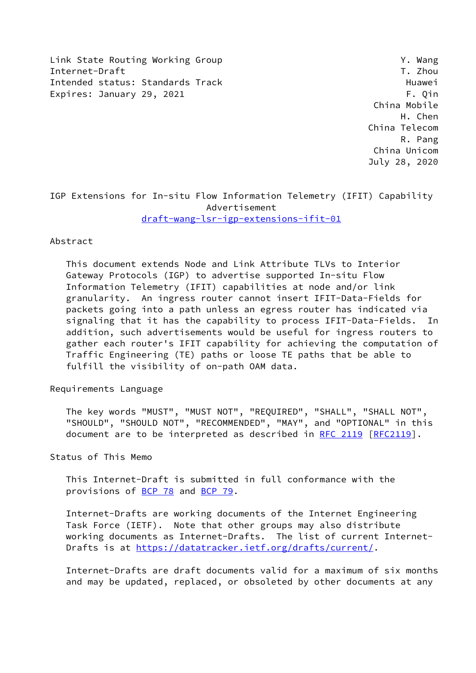Link State Routing Working Group Y. Wang Internet-Draft T. Zhou Intended status: Standards Track Track Huawei Expires: January 29, 2021 **F. Qin** 

 China Mobile H. Chen China Telecom R. Pang China Unicom July 28, 2020

IGP Extensions for In-situ Flow Information Telemetry (IFIT) Capability Advertisement [draft-wang-lsr-igp-extensions-ifit-01](https://datatracker.ietf.org/doc/pdf/draft-wang-lsr-igp-extensions-ifit-01)

#### Abstract

 This document extends Node and Link Attribute TLVs to Interior Gateway Protocols (IGP) to advertise supported In-situ Flow Information Telemetry (IFIT) capabilities at node and/or link granularity. An ingress router cannot insert IFIT-Data-Fields for packets going into a path unless an egress router has indicated via signaling that it has the capability to process IFIT-Data-Fields. In addition, such advertisements would be useful for ingress routers to gather each router's IFIT capability for achieving the computation of Traffic Engineering (TE) paths or loose TE paths that be able to fulfill the visibility of on-path OAM data.

Requirements Language

 The key words "MUST", "MUST NOT", "REQUIRED", "SHALL", "SHALL NOT", "SHOULD", "SHOULD NOT", "RECOMMENDED", "MAY", and "OPTIONAL" in this document are to be interpreted as described in [RFC 2119 \[RFC2119](https://datatracker.ietf.org/doc/pdf/rfc2119)].

Status of This Memo

 This Internet-Draft is submitted in full conformance with the provisions of [BCP 78](https://datatracker.ietf.org/doc/pdf/bcp78) and [BCP 79](https://datatracker.ietf.org/doc/pdf/bcp79).

 Internet-Drafts are working documents of the Internet Engineering Task Force (IETF). Note that other groups may also distribute working documents as Internet-Drafts. The list of current Internet Drafts is at<https://datatracker.ietf.org/drafts/current/>.

 Internet-Drafts are draft documents valid for a maximum of six months and may be updated, replaced, or obsoleted by other documents at any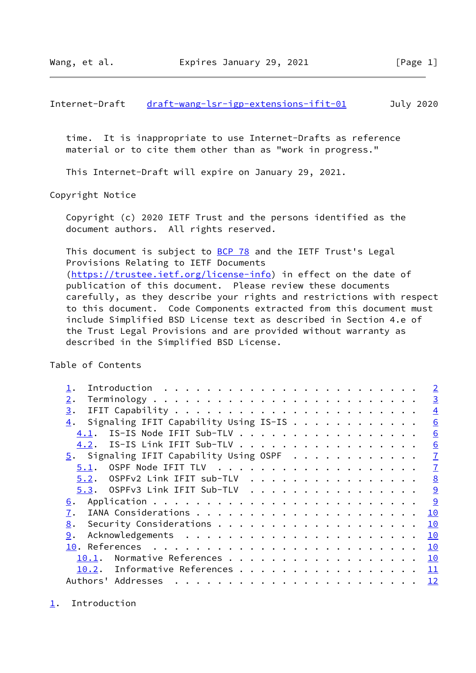<span id="page-1-1"></span>Internet-Draft [draft-wang-lsr-igp-extensions-ifit-01](https://datatracker.ietf.org/doc/pdf/draft-wang-lsr-igp-extensions-ifit-01) July 2020

 time. It is inappropriate to use Internet-Drafts as reference material or to cite them other than as "work in progress."

This Internet-Draft will expire on January 29, 2021.

Copyright Notice

 Copyright (c) 2020 IETF Trust and the persons identified as the document authors. All rights reserved.

This document is subject to [BCP 78](https://datatracker.ietf.org/doc/pdf/bcp78) and the IETF Trust's Legal Provisions Relating to IETF Documents [\(https://trustee.ietf.org/license-info](https://trustee.ietf.org/license-info)) in effect on the date of publication of this document. Please review these documents carefully, as they describe your rights and restrictions with respect to this document. Code Components extracted from this document must include Simplified BSD License text as described in Section 4.e of the Trust Legal Provisions and are provided without warranty as described in the Simplified BSD License.

Table of Contents

|                                             | $\overline{2}$ |
|---------------------------------------------|----------------|
| 2.                                          | $\overline{3}$ |
| 3.                                          | $\overline{4}$ |
| Signaling IFIT Capability Using IS-IS<br>4. | 6              |
| IS-IS Node IFIT Sub-TLV<br>4.1.             | 6              |
| 4.2. IS-IS Link IFIT Sub-TLV                | 6              |
| $5.$ Signaling IFIT Capability Using OSPF   | $\overline{1}$ |
| 5.1.                                        | $\overline{1}$ |
| 5.2. OSPFv2 Link IFIT sub-TLV               | 8              |
| 5.3. OSPFv3 Link IFIT Sub-TLV               | 9              |
| 6.                                          | 9              |
| 7.                                          | 10             |
| 8.                                          | 10             |
| 9.                                          | 10             |
|                                             | 10             |
| Normative References<br>10.1.               | 10             |
| 10.2. Informative References                | - 11           |
|                                             |                |

<span id="page-1-0"></span>[1](#page-1-0). Introduction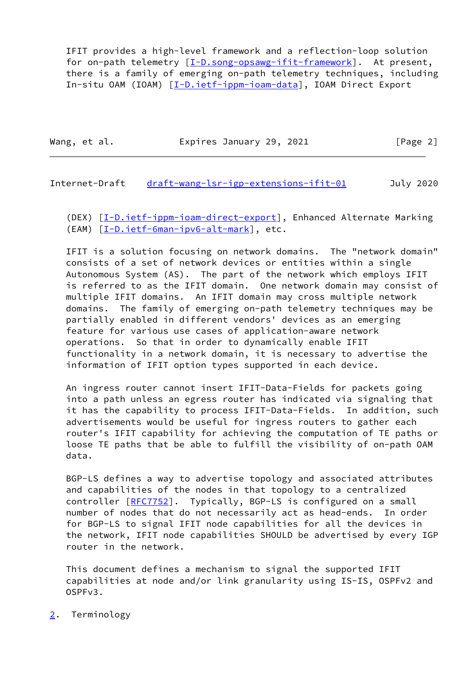IFIT provides a high-level framework and a reflection-loop solution for on-path telemetry [[I-D.song-opsawg-ifit-framework](#page-12-1)]. At present, there is a family of emerging on-path telemetry techniques, including In-situ OAM (IOAM) [[I-D.ietf-ippm-ioam-data\]](#page-11-4), IOAM Direct Export

Wang, et al. **Expires January 29, 2021** [Page 2]

<span id="page-2-1"></span>Internet-Draft [draft-wang-lsr-igp-extensions-ifit-01](https://datatracker.ietf.org/doc/pdf/draft-wang-lsr-igp-extensions-ifit-01) July 2020

(DEX) [[I-D.ietf-ippm-ioam-direct-export\]](#page-12-2), Enhanced Alternate Marking (EAM) [[I-D.ietf-6man-ipv6-alt-mark](#page-11-5)], etc.

 IFIT is a solution focusing on network domains. The "network domain" consists of a set of network devices or entities within a single Autonomous System (AS). The part of the network which employs IFIT is referred to as the IFIT domain. One network domain may consist of multiple IFIT domains. An IFIT domain may cross multiple network domains. The family of emerging on-path telemetry techniques may be partially enabled in different vendors' devices as an emerging feature for various use cases of application-aware network operations. So that in order to dynamically enable IFIT functionality in a network domain, it is necessary to advertise the information of IFIT option types supported in each device.

 An ingress router cannot insert IFIT-Data-Fields for packets going into a path unless an egress router has indicated via signaling that it has the capability to process IFIT-Data-Fields. In addition, such advertisements would be useful for ingress routers to gather each router's IFIT capability for achieving the computation of TE paths or loose TE paths that be able to fulfill the visibility of on-path OAM data.

 BGP-LS defines a way to advertise topology and associated attributes and capabilities of the nodes in that topology to a centralized controller [[RFC7752\]](https://datatracker.ietf.org/doc/pdf/rfc7752). Typically, BGP-LS is configured on a small number of nodes that do not necessarily act as head-ends. In order for BGP-LS to signal IFIT node capabilities for all the devices in the network, IFIT node capabilities SHOULD be advertised by every IGP router in the network.

 This document defines a mechanism to signal the supported IFIT capabilities at node and/or link granularity using IS-IS, OSPFv2 and OSPFv3.

<span id="page-2-0"></span>[2](#page-2-0). Terminology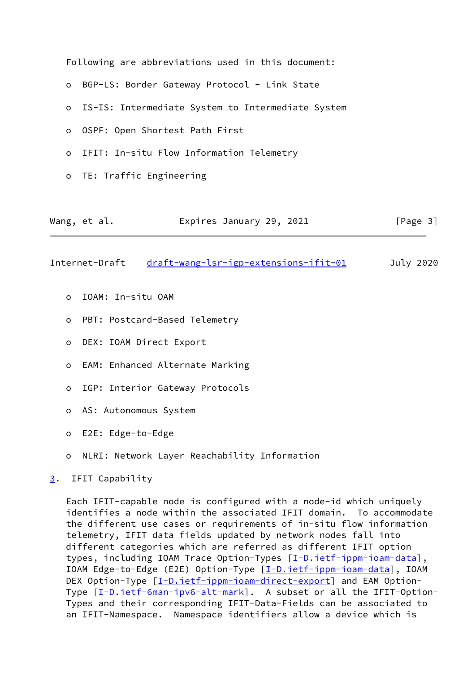|         |                | Following are abbreviations used in this document:  |           |
|---------|----------------|-----------------------------------------------------|-----------|
|         |                | o BGP-LS: Border Gateway Protocol - Link State      |           |
|         |                | o IS-IS: Intermediate System to Intermediate System |           |
| $\circ$ |                | OSPF: Open Shortest Path First                      |           |
|         |                | o IFIT: In-situ Flow Information Telemetry          |           |
|         |                | o TE: Traffic Engineering                           |           |
|         |                |                                                     |           |
|         | Wang, et al.   | Expires January 29, 2021                            | [Page 3]  |
|         | Internet-Draft | draft-wang-lsr-igp-extensions-ifit-01               | July 2020 |

- <span id="page-3-1"></span>o IOAM: In-situ OAM
- o PBT: Postcard-Based Telemetry
- o DEX: IOAM Direct Export
- o EAM: Enhanced Alternate Marking
- o IGP: Interior Gateway Protocols
- o AS: Autonomous System
- o E2E: Edge-to-Edge
- o NLRI: Network Layer Reachability Information
- <span id="page-3-0"></span>[3](#page-3-0). IFIT Capability

 Each IFIT-capable node is configured with a node-id which uniquely identifies a node within the associated IFIT domain. To accommodate the different use cases or requirements of in-situ flow information telemetry, IFIT data fields updated by network nodes fall into different categories which are referred as different IFIT option types, including IOAM Trace Option-Types [\[I-D.ietf-ippm-ioam-data](#page-11-4)], IOAM Edge-to-Edge (E2E) Option-Type [\[I-D.ietf-ippm-ioam-data](#page-11-4)], IOAM DEX Option-Type  $[\underline{I-D.iett-ippm-ioam-direct-export}]$  and EAM Option-Type  $[I-D.ietf-Sman-ipv6-alt-mark]$ . A subset or all the IFIT-Option- Types and their corresponding IFIT-Data-Fields can be associated to an IFIT-Namespace. Namespace identifiers allow a device which is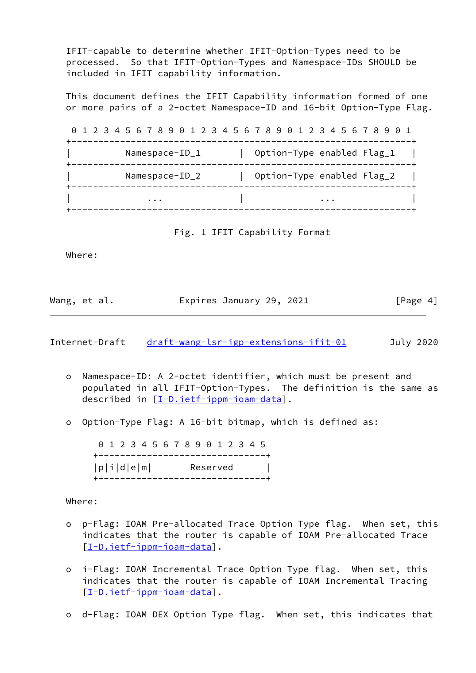IFIT-capable to determine whether IFIT-Option-Types need to be processed. So that IFIT-Option-Types and Namespace-IDs SHOULD be included in IFIT capability information.

 This document defines the IFIT Capability information formed of one or more pairs of a 2-octet Namespace-ID and 16-bit Option-Type Flag.

 0 1 2 3 4 5 6 7 8 9 0 1 2 3 4 5 6 7 8 9 0 1 2 3 4 5 6 7 8 9 0 1 +---------------------------------------------------------------+ Namespace-ID\_1 | Option-Type enabled Flag\_1 | +---------------------------------------------------------------+ Namespace-ID\_2 | Option-Type enabled Flag\_2 | +---------------------------------------------------------------+ | ... | ... | ... | ... | ... | ... | ... | ... | ... | ... | ... | ... | ... | ... | ... | ... | ... | ... | . +---------------------------------------------------------------+

Fig. 1 IFIT Capability Format

Where:

| Wang, et al. | Expires January 29, 2021 | [Page 4] |
|--------------|--------------------------|----------|
|              |                          |          |

| Internet-Draft | draft-wang-lsr-igp-extensions-ifit-01 |  | July 2020 |  |
|----------------|---------------------------------------|--|-----------|--|
|                |                                       |  |           |  |

- o Namespace-ID: A 2-octet identifier, which must be present and populated in all IFIT-Option-Types. The definition is the same as described in [\[I-D.ietf-ippm-ioam-data](#page-11-4)].
- o Option-Type Flag: A 16-bit bitmap, which is defined as:

 0 1 2 3 4 5 6 7 8 9 0 1 2 3 4 5 +-------------------------------+ |p|i|d|e|m| Reserved | +-------------------------------+

Where:

- o p-Flag: IOAM Pre-allocated Trace Option Type flag. When set, this indicates that the router is capable of IOAM Pre-allocated Trace [[I-D.ietf-ippm-ioam-data\]](#page-11-4).
- o i-Flag: IOAM Incremental Trace Option Type flag. When set, this indicates that the router is capable of IOAM Incremental Tracing [[I-D.ietf-ippm-ioam-data\]](#page-11-4).
- o d-Flag: IOAM DEX Option Type flag. When set, this indicates that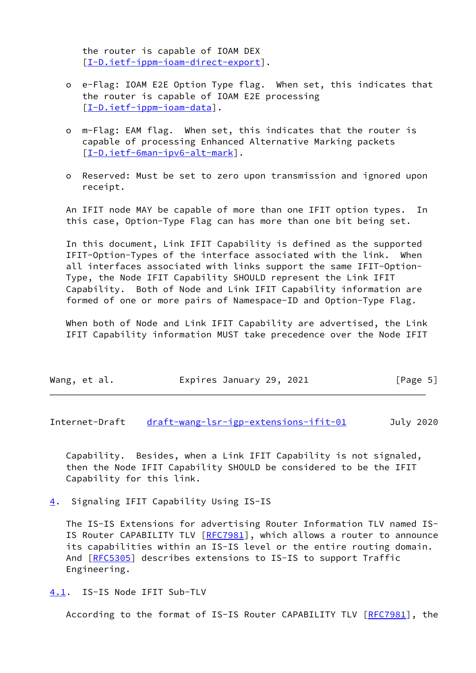the router is capable of IOAM DEX [[I-D.ietf-ippm-ioam-direct-export\]](#page-12-2).

- o e-Flag: IOAM E2E Option Type flag. When set, this indicates that the router is capable of IOAM E2E processing [[I-D.ietf-ippm-ioam-data\]](#page-11-4).
- o m-Flag: EAM flag. When set, this indicates that the router is capable of processing Enhanced Alternative Marking packets [[I-D.ietf-6man-ipv6-alt-mark\]](#page-11-5).
- o Reserved: Must be set to zero upon transmission and ignored upon receipt.

 An IFIT node MAY be capable of more than one IFIT option types. In this case, Option-Type Flag can has more than one bit being set.

 In this document, Link IFIT Capability is defined as the supported IFIT-Option-Types of the interface associated with the link. When all interfaces associated with links support the same IFIT-Option- Type, the Node IFIT Capability SHOULD represent the Link IFIT Capability. Both of Node and Link IFIT Capability information are formed of one or more pairs of Namespace-ID and Option-Type Flag.

 When both of Node and Link IFIT Capability are advertised, the Link IFIT Capability information MUST take precedence over the Node IFIT

| Wang, et al. |  | Expires January 29, 2021 |  |  |  | [Page 5] |  |
|--------------|--|--------------------------|--|--|--|----------|--|
|--------------|--|--------------------------|--|--|--|----------|--|

<span id="page-5-1"></span>Internet-Draft [draft-wang-lsr-igp-extensions-ifit-01](https://datatracker.ietf.org/doc/pdf/draft-wang-lsr-igp-extensions-ifit-01) July 2020

 Capability. Besides, when a Link IFIT Capability is not signaled, then the Node IFIT Capability SHOULD be considered to be the IFIT Capability for this link.

<span id="page-5-0"></span>[4](#page-5-0). Signaling IFIT Capability Using IS-IS

 The IS-IS Extensions for advertising Router Information TLV named IS- IS Router CAPABILITY TLV [\[RFC7981](https://datatracker.ietf.org/doc/pdf/rfc7981)], which allows a router to announce its capabilities within an IS-IS level or the entire routing domain. And [\[RFC5305](https://datatracker.ietf.org/doc/pdf/rfc5305)] describes extensions to IS-IS to support Traffic Engineering.

<span id="page-5-2"></span>[4.1](#page-5-2). IS-IS Node IFIT Sub-TLV

According to the format of IS-IS Router CAPABILITY TLV [\[RFC7981](https://datatracker.ietf.org/doc/pdf/rfc7981)], the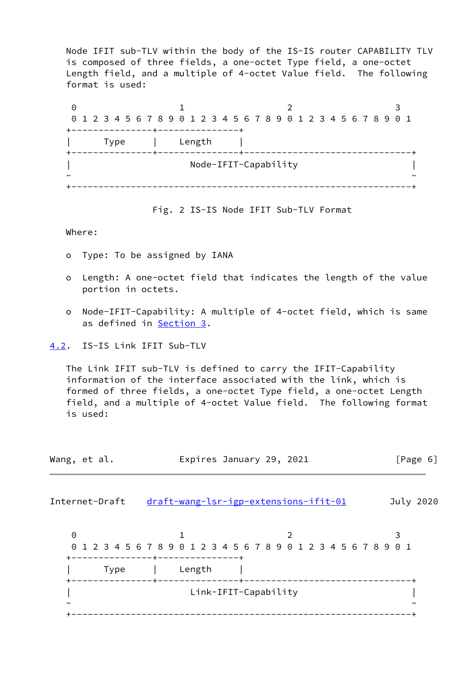Node IFIT sub-TLV within the body of the IS-IS router CAPABILITY TLV is composed of three fields, a one-octet Type field, a one-octet Length field, and a multiple of 4-octet Value field. The following format is used:

| Θ                     |  |                                                                 |      |  |  |  |                      |  |  |  |  |  |  |  |  |  |                       |
|-----------------------|--|-----------------------------------------------------------------|------|--|--|--|----------------------|--|--|--|--|--|--|--|--|--|-----------------------|
|                       |  | 0 1 2 3 4 5 6 7 8 9 0 1 2 3 4 5 6 7 8 9 0 1 2 3 4 5 6 7 8 9 0 1 |      |  |  |  |                      |  |  |  |  |  |  |  |  |  |                       |
|                       |  |                                                                 |      |  |  |  |                      |  |  |  |  |  |  |  |  |  |                       |
|                       |  |                                                                 | Type |  |  |  | Length               |  |  |  |  |  |  |  |  |  |                       |
|                       |  |                                                                 |      |  |  |  | Node-IFIT-Capability |  |  |  |  |  |  |  |  |  |                       |
| $\tilde{\phantom{a}}$ |  |                                                                 |      |  |  |  |                      |  |  |  |  |  |  |  |  |  | $\tilde{\phantom{a}}$ |
|                       |  |                                                                 |      |  |  |  |                      |  |  |  |  |  |  |  |  |  |                       |

Fig. 2 IS-IS Node IFIT Sub-TLV Format

Where:

- o Type: To be assigned by IANA
- o Length: A one-octet field that indicates the length of the value portion in octets.
- o Node-IFIT-Capability: A multiple of 4-octet field, which is same as defined in [Section 3](#page-3-0).

<span id="page-6-0"></span>[4.2](#page-6-0). IS-IS Link IFIT Sub-TLV

 The Link IFIT sub-TLV is defined to carry the IFIT-Capability information of the interface associated with the link, which is formed of three fields, a one-octet Type field, a one-octet Length field, and a multiple of 4-octet Value field. The following format is used:

<span id="page-6-1"></span>

| Wang, et al. |                                                                 |                                       |        | Expires January 29, 2021 |  |  |  |  |  |  |   | [Page $6$ ]           |
|--------------|-----------------------------------------------------------------|---------------------------------------|--------|--------------------------|--|--|--|--|--|--|---|-----------------------|
|              | Internet-Draft                                                  | draft-wang-lsr-igp-extensions-ifit-01 |        |                          |  |  |  |  |  |  |   | July 2020             |
| 0            | 0 1 2 3 4 5 6 7 8 9 0 1 2 3 4 5 6 7 8 9 0 1 2 3 4 5 6 7 8 9 0 1 |                                       |        |                          |  |  |  |  |  |  | 3 |                       |
|              | <b>Type</b>                                                     |                                       | Length |                          |  |  |  |  |  |  |   |                       |
|              |                                                                 |                                       |        | Link-IFIT-Capability     |  |  |  |  |  |  |   | $\tilde{\phantom{a}}$ |
|              |                                                                 |                                       |        |                          |  |  |  |  |  |  |   |                       |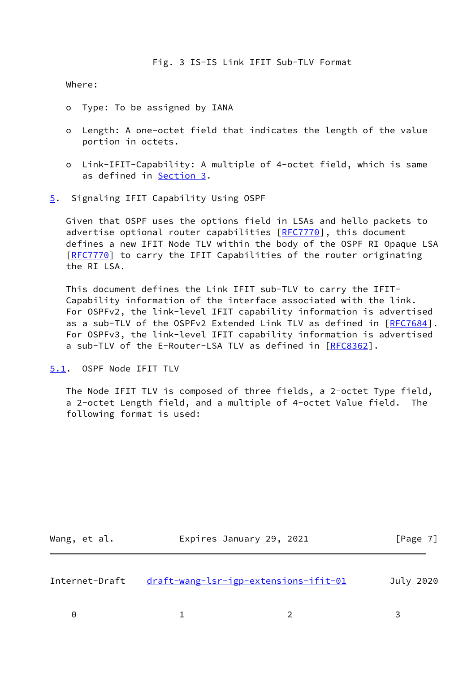Where:

- o Type: To be assigned by IANA
- o Length: A one-octet field that indicates the length of the value portion in octets.
- o Link-IFIT-Capability: A multiple of 4-octet field, which is same as defined in [Section 3](#page-3-0).
- <span id="page-7-0"></span>[5](#page-7-0). Signaling IFIT Capability Using OSPF

 Given that OSPF uses the options field in LSAs and hello packets to advertise optional router capabilities [\[RFC7770](https://datatracker.ietf.org/doc/pdf/rfc7770)], this document defines a new IFIT Node TLV within the body of the OSPF RI Opaque LSA [\[RFC7770](https://datatracker.ietf.org/doc/pdf/rfc7770)] to carry the IFIT Capabilities of the router originating the RI LSA.

 This document defines the Link IFIT sub-TLV to carry the IFIT- Capability information of the interface associated with the link. For OSPFv2, the link-level IFIT capability information is advertised as a sub-TLV of the OSPFv2 Extended Link TLV as defined in [[RFC7684\]](https://datatracker.ietf.org/doc/pdf/rfc7684). For OSPFv3, the link-level IFIT capability information is advertised a sub-TLV of the E-Router-LSA TLV as defined in [\[RFC8362](https://datatracker.ietf.org/doc/pdf/rfc8362)].

<span id="page-7-1"></span>[5.1](#page-7-1). OSPF Node IFIT TLV

 The Node IFIT TLV is composed of three fields, a 2-octet Type field, a 2-octet Length field, and a multiple of 4-octet Value field. The following format is used:

<span id="page-7-2"></span>

| Wang, et al.   | Expires January 29, 2021              | [Page 7]  |
|----------------|---------------------------------------|-----------|
| Internet-Draft | draft-wang-lsr-igp-extensions-ifit-01 | July 2020 |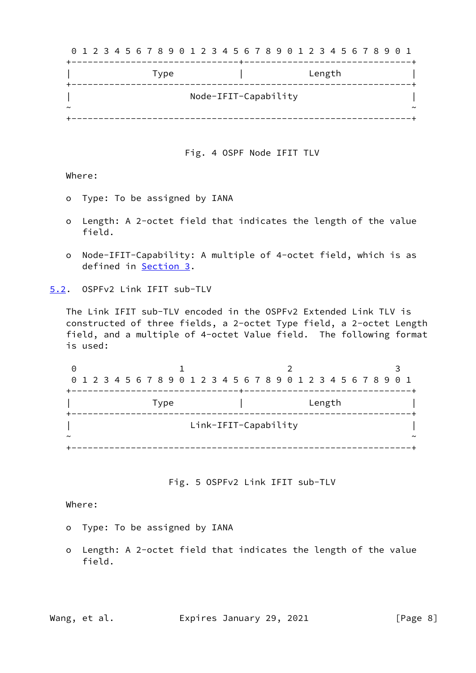| Length<br>Type<br>Node-IFIT-Capability<br>$\tilde{\phantom{a}}$ | 0 1 2 3 4 5 6 7 8 9 0 1 2 3 4 5 6 7 8 9 0 1 2 3 4 5 6 7 8 9 0 1 |        |
|-----------------------------------------------------------------|-----------------------------------------------------------------|--------|
|                                                                 |                                                                 |        |
|                                                                 |                                                                 |        |
|                                                                 |                                                                 | $\sim$ |

Fig. 4 OSPF Node IFIT TLV

Where:

- o Type: To be assigned by IANA
- o Length: A 2-octet field that indicates the length of the value field.
- o Node-IFIT-Capability: A multiple of 4-octet field, which is as defined in [Section 3.](#page-3-0)

<span id="page-8-0"></span>[5.2](#page-8-0). OSPFv2 Link IFIT sub-TLV

 The Link IFIT sub-TLV encoded in the OSPFv2 Extended Link TLV is constructed of three fields, a 2-octet Type field, a 2-octet Length field, and a multiple of 4-octet Value field. The following format is used:

| Θ |                                                                 |  |  |  |      |  |  |  |                      |  |  |  |        |  |  |  |        |
|---|-----------------------------------------------------------------|--|--|--|------|--|--|--|----------------------|--|--|--|--------|--|--|--|--------|
|   | 0 1 2 3 4 5 6 7 8 9 0 1 2 3 4 5 6 7 8 9 0 1 2 3 4 5 6 7 8 9 0 1 |  |  |  |      |  |  |  |                      |  |  |  |        |  |  |  |        |
|   |                                                                 |  |  |  |      |  |  |  |                      |  |  |  |        |  |  |  |        |
|   |                                                                 |  |  |  | Type |  |  |  |                      |  |  |  | Length |  |  |  |        |
|   |                                                                 |  |  |  |      |  |  |  | Link-IFIT-Capability |  |  |  |        |  |  |  |        |
|   |                                                                 |  |  |  |      |  |  |  |                      |  |  |  |        |  |  |  | $\sim$ |
|   |                                                                 |  |  |  |      |  |  |  |                      |  |  |  |        |  |  |  |        |

### Fig. 5 OSPFv2 Link IFIT sub-TLV

Where:

- o Type: To be assigned by IANA
- o Length: A 2-octet field that indicates the length of the value field.

Wang, et al. **Expires January 29, 2021** [Page 8]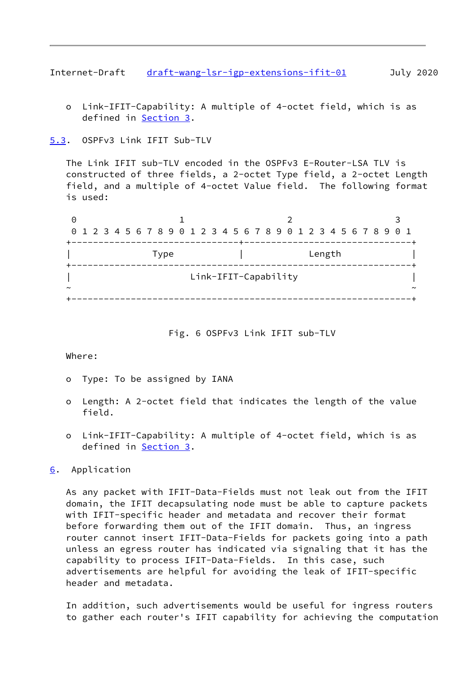<span id="page-9-1"></span>Internet-Draft [draft-wang-lsr-igp-extensions-ifit-01](https://datatracker.ietf.org/doc/pdf/draft-wang-lsr-igp-extensions-ifit-01) July 2020

 o Link-IFIT-Capability: A multiple of 4-octet field, which is as defined in [Section 3.](#page-3-0)

# <span id="page-9-0"></span>[5.3](#page-9-0). OSPFv3 Link IFIT Sub-TLV

 The Link IFIT sub-TLV encoded in the OSPFv3 E-Router-LSA TLV is constructed of three fields, a 2-octet Type field, a 2-octet Length field, and a multiple of 4-octet Value field. The following format is used:

| Θ |  |  |  |      |  |  |  |                      |  |  |  |        |  |  |                                                                 |        |  |
|---|--|--|--|------|--|--|--|----------------------|--|--|--|--------|--|--|-----------------------------------------------------------------|--------|--|
|   |  |  |  |      |  |  |  |                      |  |  |  |        |  |  | 0 1 2 3 4 5 6 7 8 9 0 1 2 3 4 5 6 7 8 9 0 1 2 3 4 5 6 7 8 9 0 1 |        |  |
|   |  |  |  |      |  |  |  |                      |  |  |  |        |  |  |                                                                 |        |  |
|   |  |  |  | Type |  |  |  |                      |  |  |  | Length |  |  |                                                                 |        |  |
|   |  |  |  |      |  |  |  | Link-IFIT-Capability |  |  |  |        |  |  |                                                                 |        |  |
| ~ |  |  |  |      |  |  |  |                      |  |  |  |        |  |  |                                                                 | $\sim$ |  |
|   |  |  |  |      |  |  |  |                      |  |  |  |        |  |  |                                                                 |        |  |

# Fig. 6 OSPFv3 Link IFIT sub-TLV

### Where:

- o Type: To be assigned by IANA
- o Length: A 2-octet field that indicates the length of the value field.
- o Link-IFIT-Capability: A multiple of 4-octet field, which is as defined in [Section 3.](#page-3-0)

# <span id="page-9-2"></span>[6](#page-9-2). Application

 As any packet with IFIT-Data-Fields must not leak out from the IFIT domain, the IFIT decapsulating node must be able to capture packets with IFIT-specific header and metadata and recover their format before forwarding them out of the IFIT domain. Thus, an ingress router cannot insert IFIT-Data-Fields for packets going into a path unless an egress router has indicated via signaling that it has the capability to process IFIT-Data-Fields. In this case, such advertisements are helpful for avoiding the leak of IFIT-specific header and metadata.

 In addition, such advertisements would be useful for ingress routers to gather each router's IFIT capability for achieving the computation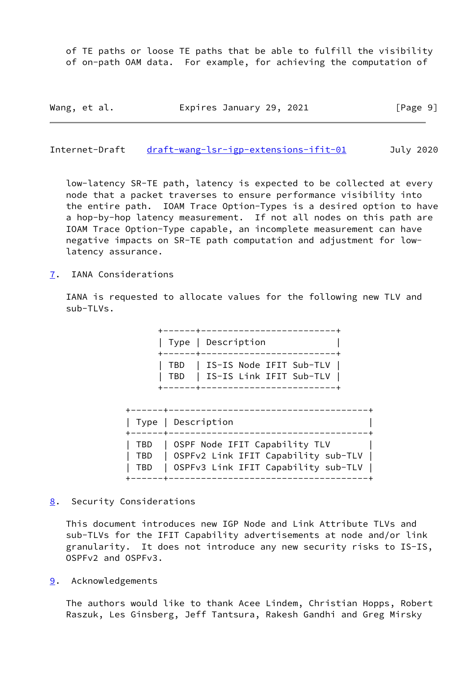of TE paths or loose TE paths that be able to fulfill the visibility of on-path OAM data. For example, for achieving the computation of

| Wang, et al. | Expires January 29, 2021 | [Page 9] |
|--------------|--------------------------|----------|
|--------------|--------------------------|----------|

<span id="page-10-1"></span>Internet-Draft [draft-wang-lsr-igp-extensions-ifit-01](https://datatracker.ietf.org/doc/pdf/draft-wang-lsr-igp-extensions-ifit-01) July 2020

 low-latency SR-TE path, latency is expected to be collected at every node that a packet traverses to ensure performance visibility into the entire path. IOAM Trace Option-Types is a desired option to have a hop-by-hop latency measurement. If not all nodes on this path are IOAM Trace Option-Type capable, an incomplete measurement can have negative impacts on SR-TE path computation and adjustment for low latency assurance.

<span id="page-10-0"></span>[7](#page-10-0). IANA Considerations

 IANA is requested to allocate values for the following new TLV and sub-TLVs.

> +------+-------------------------+ | Type | Description | +------+-------------------------+ | TBD | IS-IS Node IFIT Sub-TLV | | TBD | IS-IS Link IFIT Sub-TLV | +------+-------------------------+

| +------+--- | Type   Description                                                                                                                  |
|-------------|-------------------------------------------------------------------------------------------------------------------------------------|
|             | TBD   OSPF Node IFIT Capability TLV<br>  TBD   OSPFv2 Link IFIT Capability sub-TLV  <br>  TBD   OSPFv3 Link IFIT Capability sub-TLV |

<span id="page-10-2"></span>[8](#page-10-2). Security Considerations

 This document introduces new IGP Node and Link Attribute TLVs and sub-TLVs for the IFIT Capability advertisements at node and/or link granularity. It does not introduce any new security risks to IS-IS, OSPFv2 and OSPFv3.

<span id="page-10-3"></span>[9](#page-10-3). Acknowledgements

 The authors would like to thank Acee Lindem, Christian Hopps, Robert Raszuk, Les Ginsberg, Jeff Tantsura, Rakesh Gandhi and Greg Mirsky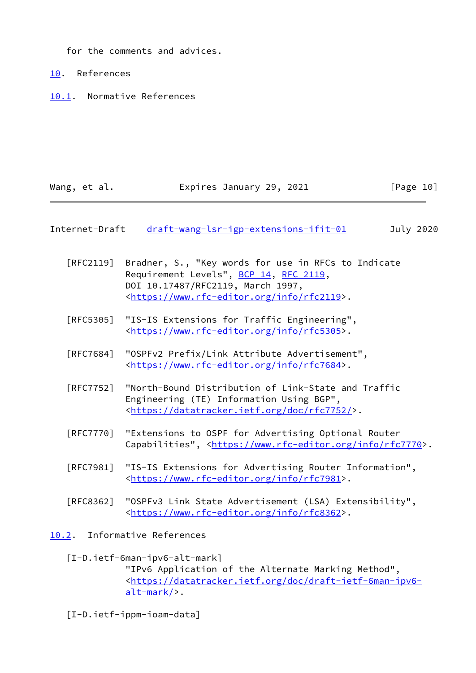for the comments and advices.

<span id="page-11-0"></span>[10.](#page-11-0) References

<span id="page-11-1"></span>[10.1](#page-11-1). Normative References

| Wang, et al. | Expires January 29, 2021 | [Page 10] |
|--------------|--------------------------|-----------|
|--------------|--------------------------|-----------|

# <span id="page-11-3"></span>Internet-Draft [draft-wang-lsr-igp-extensions-ifit-01](https://datatracker.ietf.org/doc/pdf/draft-wang-lsr-igp-extensions-ifit-01) July 2020

- [RFC2119] Bradner, S., "Key words for use in RFCs to Indicate Requirement Levels", [BCP 14](https://datatracker.ietf.org/doc/pdf/bcp14), [RFC 2119](https://datatracker.ietf.org/doc/pdf/rfc2119), DOI 10.17487/RFC2119, March 1997, <[https://www.rfc-editor.org/info/rfc2119>](https://www.rfc-editor.org/info/rfc2119).
- [RFC5305] "IS-IS Extensions for Traffic Engineering", <[https://www.rfc-editor.org/info/rfc5305>](https://www.rfc-editor.org/info/rfc5305).
- [RFC7684] "OSPFv2 Prefix/Link Attribute Advertisement", <[https://www.rfc-editor.org/info/rfc7684>](https://www.rfc-editor.org/info/rfc7684).
- [RFC7752] "North-Bound Distribution of Link-State and Traffic Engineering (TE) Information Using BGP", <[https://datatracker.ietf.org/doc/rfc7752/>](https://datatracker.ietf.org/doc/rfc7752/).
- [RFC7770] "Extensions to OSPF for Advertising Optional Router Capabilities", <<https://www.rfc-editor.org/info/rfc7770>>.
- [RFC7981] "IS-IS Extensions for Advertising Router Information", <[https://www.rfc-editor.org/info/rfc7981>](https://www.rfc-editor.org/info/rfc7981).
- [RFC8362] "OSPFv3 Link State Advertisement (LSA) Extensibility", <[https://www.rfc-editor.org/info/rfc8362>](https://www.rfc-editor.org/info/rfc8362).
- <span id="page-11-2"></span>[10.2](#page-11-2). Informative References

# <span id="page-11-5"></span>[I-D.ietf-6man-ipv6-alt-mark]

 "IPv6 Application of the Alternate Marking Method", <[https://datatracker.ietf.org/doc/draft-ietf-6man-ipv6](https://datatracker.ietf.org/doc/draft-ietf-6man-ipv6-alt-mark/) [alt-mark/>](https://datatracker.ietf.org/doc/draft-ietf-6man-ipv6-alt-mark/).

<span id="page-11-4"></span>[I-D.ietf-ippm-ioam-data]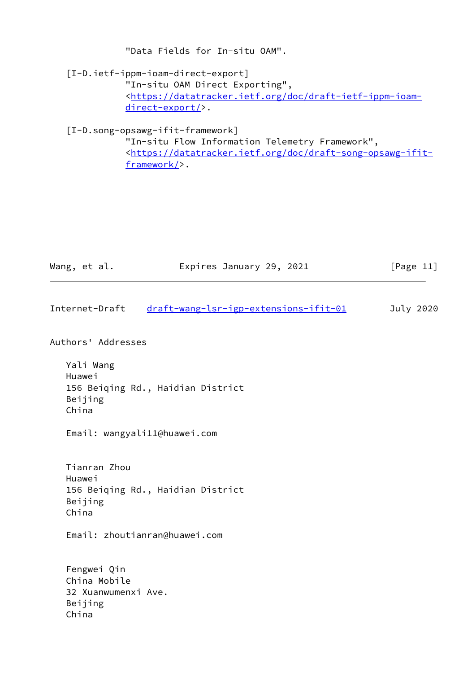"Data Fields for In-situ OAM".

<span id="page-12-2"></span> [I-D.ietf-ippm-ioam-direct-export] "In-situ OAM Direct Exporting", <[https://datatracker.ietf.org/doc/draft-ietf-ippm-ioam](https://datatracker.ietf.org/doc/draft-ietf-ippm-ioam-direct-export/) [direct-export/](https://datatracker.ietf.org/doc/draft-ietf-ippm-ioam-direct-export/)>.

<span id="page-12-1"></span>[I-D.song-opsawg-ifit-framework]

 "In-situ Flow Information Telemetry Framework", <[https://datatracker.ietf.org/doc/draft-song-opsawg-ifit](https://datatracker.ietf.org/doc/draft-song-opsawg-ifit-framework/) [framework/>](https://datatracker.ietf.org/doc/draft-song-opsawg-ifit-framework/).

| Wang, et al. | Expires January 29, 2021 | [Page 11] |
|--------------|--------------------------|-----------|
|              |                          |           |

<span id="page-12-0"></span>Internet-Draft [draft-wang-lsr-igp-extensions-ifit-01](https://datatracker.ietf.org/doc/pdf/draft-wang-lsr-igp-extensions-ifit-01) July 2020

Authors' Addresses

 Yali Wang Huawei 156 Beiqing Rd., Haidian District Beijing China

Email: wangyali11@huawei.com

 Tianran Zhou Huawei 156 Beiqing Rd., Haidian District Beijing China

Email: zhoutianran@huawei.com

 Fengwei Qin China Mobile 32 Xuanwumenxi Ave. Beijing China